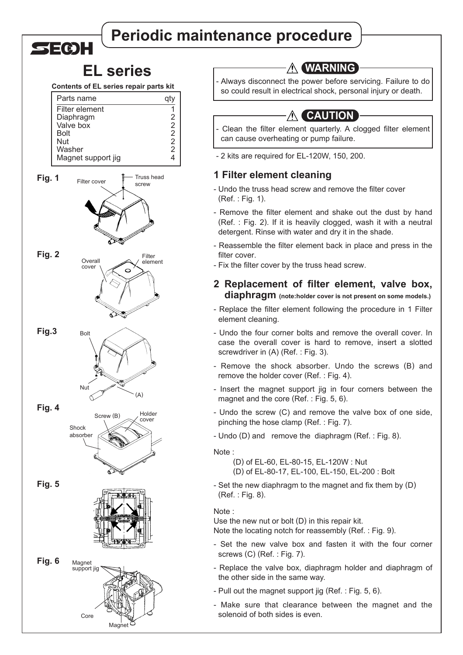# **Periodic maintenance procedure**

## **EL series**

SECIH

### **Contents of EL series repair parts kit**



| WARNII |  |
|--------|--|
|--------|--|

Always disconnect the power before servicing. Failure to do so could result in electrical shock, personal injury or death.

## **A CAUTION**

Clean the filter element quarterly. A clogged filter element can cause overheating or pump failure.

- 2 kits are required for EL-120W, 150, 200.

### **1 Filter element cleaning**

- Undo the truss head screw and remove the filter cover (Ref. : Fig. 1).
- Remove the filter element and shake out the dust by hand (Ref. : Fig. 2). If it is heavily clogged, wash it with a neutral detergent. Rinse with water and dry it in the shade.
- Reassemble the filter element back in place and press in the filter cover.
- Fix the filter cover by the truss head screw.

### **2 Replacement of filter element, valve box, diaphragm (note:holder cover is not present on some models.)**

- Replace the filter element following the procedure in 1 Filter element cleaning.
- Undo the four corner bolts and remove the overall cover. In case the overall cover is hard to remove, insert a slotted screwdriver in (A) (Ref. : Fig. 3).
- Remove the shock absorber. Undo the screws (B) and remove the holder cover (Ref. : Fig. 4).
- Insert the magnet support jig in four corners between the magnet and the core (Ref. : Fig. 5, 6).
- Undo the screw (C) and remove the valve box of one side, pinching the hose clamp (Ref. : Fig. 7).
- Undo (D) and remove the diaphragm (Ref. : Fig. 8).

#### Note :

- (D) of EL-60, EL-80-15, EL-120W : Nut (D) of EL-80-17, EL-100, EL-150, EL-200 : Bolt
- Set the new diaphragm to the magnet and fix them by (D) (Ref. : Fig. 8).

#### Note :

Use the new nut or bolt (D) in this repair kit. Note the locating notch for reassembly (Ref. : Fig. 9).

- Set the new valve box and fasten it with the four corner screws (C) (Ref. : Fig. 7).
- Replace the valve box, diaphragm holder and diaphragm of the other side in the same way.
- Pull out the magnet support jig (Ref. : Fig. 5, 6).
- Make sure that clearance between the magnet and the solenoid of both sides is even.